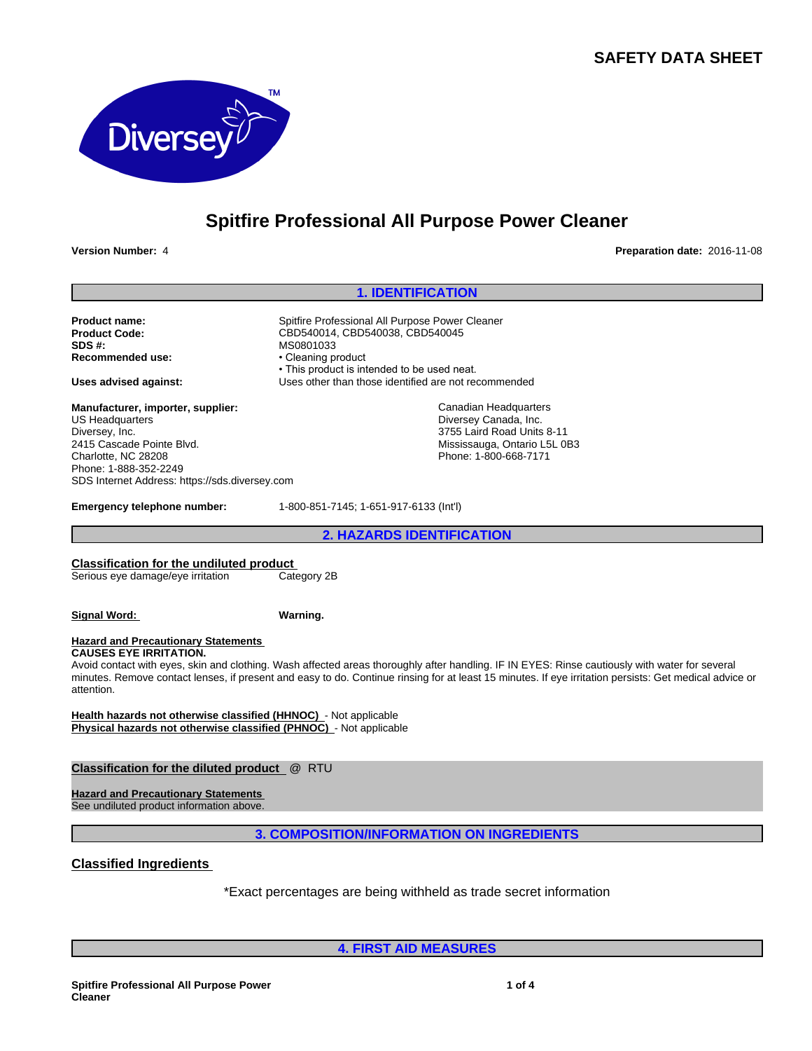# **SAFETY DATA SHEET**



# **Spitfire Professional All Purpose Power Cleaner**

**Version Number:** 4 **Preparation date:** 2016-11-08

## **1. IDENTIFICATION**

**Product name:** Spitfire Professional All Purpose Power Cleaner<br> **Product Code:** CBD540014, CBD540038, CBD540045 **SDS #:**<br> **Recommended use:** MS0801033 • Cleaning product **Recommended use:** 

**Manufacturer, importer, supplier:** US Headquarters Diversey, Inc. 2415 Cascade Pointe Blvd. Charlotte, NC 28208 Phone: 1-888-352-2249 SDS Internet Address: https://sds.diversey.com

• This product is intended to be used neat. **Uses advised against:** Uses other than those identified are not recommended

Canadian Headquarters Diversey Canada, Inc. 3755 Laird Road Units 8-11 Mississauga, Ontario L5L 0B3 Phone: 1-800-668-7171

**Emergency telephone number:** 1-800-851-7145; 1-651-917-6133 (Int'l)

**Product Code:** CBD540014, CBD540038, CBD540045

**2. HAZARDS IDENTIFICATION**

### **Classification for the undiluted product**

Serious eye damage/eye irritation Category 2B

## **Signal Word: Warning.**

#### **Hazard and Precautionary Statements CAUSES EYE IRRITATION.**

Avoid contact with eyes, skin and clothing. Wash affected areas thoroughly after handling. IF IN EYES: Rinse cautiously with water for several minutes. Remove contact lenses, if present and easy to do. Continue rinsing for at least 15 minutes. If eye irritation persists: Get medical advice or attention.

**Health hazards not otherwise classified (HHNOC)** - Not applicable **Physical hazards not otherwise classified (PHNOC)** - Not applicable

**Classification for the diluted product** @ RTU

**Hazard and Precautionary Statements**  See undiluted product information above.

**3. COMPOSITION/INFORMATION ON INGREDIENTS**

**Classified Ingredients**

\*Exact percentages are being withheld as trade secret information

**4. FIRST AID MEASURES**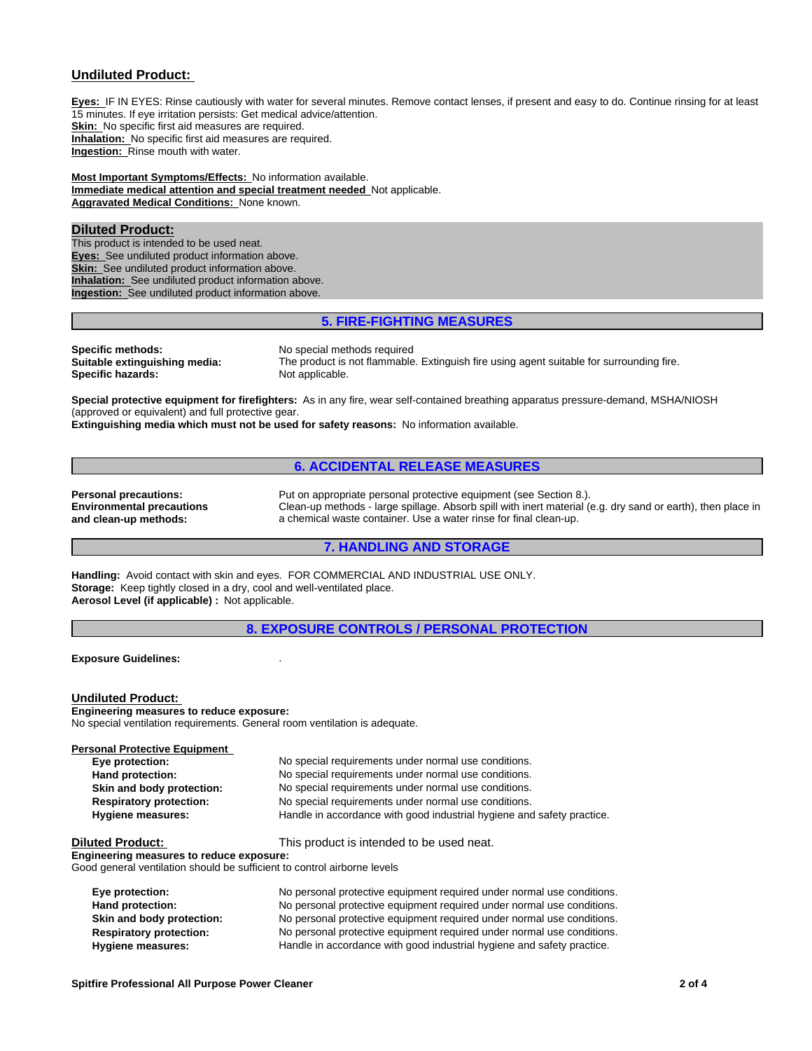#### **Undiluted Product:**

**Eyes:** IF IN EYES: Rinse cautiously with water for several minutes. Remove contact lenses, if present and easy to do. Continue rinsing for at least 15 minutes. If eye irritation persists: Get medical advice/attention. **Skin:** No specific first aid measures are required. **Inhalation:** No specific first aid measures are required. **Ingestion:** Rinse mouth with water.

**Most Important Symptoms/Effects:** No information available. **Immediate medical attention and special treatment needed** Not applicable. **Aggravated Medical Conditions:** None known.

#### **Diluted Product:**

This product is intended to be used neat. **Eyes:** See undiluted product information above. **Skin:** See undiluted product information above. **Inhalation:** See undiluted product information above. **Ingestion:** See undiluted product information above.

### **5. FIRE-FIGHTING MEASURES**

**Specific methods:** No special methods required<br> **Suitable extinguishing media:** The product is not flammable **Specific hazards:** Not applicable.

The product is not flammable. Extinguish fire using agent suitable for surrounding fire.

**Special protective equipment for firefighters:** As in any fire, wear self-contained breathing apparatus pressure-demand, MSHA/NIOSH (approved or equivalent) and full protective gear.

**Extinguishing media which must not be used for safety reasons:** No information available.

#### **6. ACCIDENTAL RELEASE MEASURES**

**Environmental precautions and clean-up methods:**

**Personal precautions:** Put on appropriate personal protective equipment (see Section 8.). Clean-up methods - large spillage. Absorb spill with inert material (e.g. dry sand or earth), then place in a chemical waste container. Use a water rinse for final clean-up.

## **7. HANDLING AND STORAGE**

**Handling:** Avoid contact with skin and eyes. FOR COMMERCIAL AND INDUSTRIAL USE ONLY. **Storage:** Keep tightly closed in a dry, cool and well-ventilated place. **Aerosol Level (if applicable) :** Not applicable.

**8. EXPOSURE CONTROLS / PERSONAL PROTECTION**

**Exposure Guidelines:** .

#### **Undiluted Product:**

**Engineering measures to reduce exposure:** No special ventilation requirements. General room ventilation is adequate.

| Personal Protective Equipment  |                                                                        |
|--------------------------------|------------------------------------------------------------------------|
| Eye protection:                | No special requirements under normal use conditions.                   |
| Hand protection:               | No special requirements under normal use conditions.                   |
| Skin and body protection:      | No special requirements under normal use conditions.                   |
| <b>Respiratory protection:</b> | No special requirements under normal use conditions.                   |
| Hygiene measures:              | Handle in accordance with good industrial hygiene and safety practice. |
|                                |                                                                        |

**Diluted Product:** This product is intended to be used neat.

**Engineering measures to reduce exposure:** Good general ventilation should be sufficient to control airborne levels

| Eye protection:                | No personal protective equipment required under normal use conditions. |
|--------------------------------|------------------------------------------------------------------------|
| Hand protection:               | No personal protective equipment required under normal use conditions. |
| Skin and body protection:      | No personal protective equipment required under normal use conditions. |
| <b>Respiratory protection:</b> | No personal protective equipment required under normal use conditions. |
| Hygiene measures:              | Handle in accordance with good industrial hygiene and safety practice. |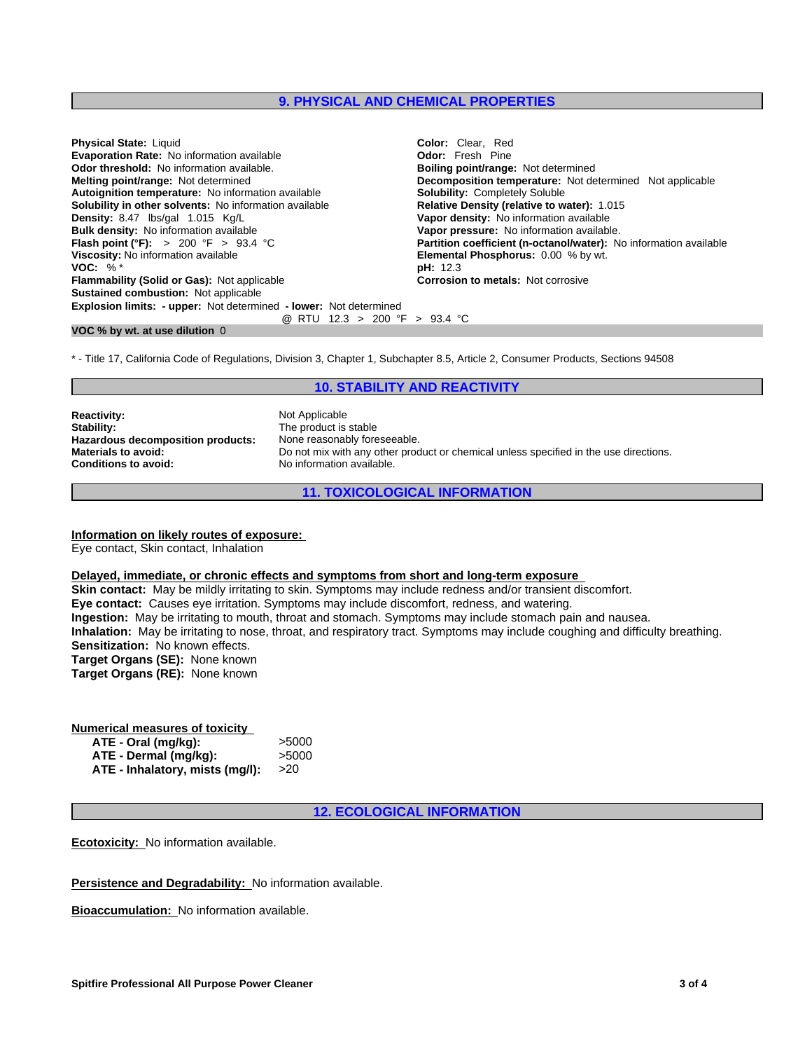#### **9. PHYSICAL AND CHEMICAL PROPERTIES**

| <b>Physical State: Liquid</b>                                            | <b>Color:</b> Clear. Red                                          |
|--------------------------------------------------------------------------|-------------------------------------------------------------------|
| <b>Evaporation Rate: No information available</b>                        | <b>Odor:</b> Fresh Pine                                           |
| <b>Odor threshold:</b> No information available.                         | <b>Boiling point/range: Not determined</b>                        |
| <b>Melting point/range: Not determined</b>                               | <b>Decomposition temperature:</b> Not determined Not applicable   |
| Autoignition temperature: No information available                       | <b>Solubility: Completely Soluble</b>                             |
| <b>Solubility in other solvents:</b> No information available            | <b>Relative Density (relative to water): 1.015</b>                |
| Density: 8.47 lbs/gal 1.015 Kg/L                                         | Vapor density: No information available                           |
| <b>Bulk density:</b> No information available                            | Vapor pressure: No information available.                         |
| <b>Flash point (°F):</b> > 200 °F > 93.4 °C                              | Partition coefficient (n-octanol/water): No information available |
| Viscosity: No information available                                      | <b>Elemental Phosphorus: 0.00 % by wt.</b>                        |
| VOC: $\%$ <sup>*</sup>                                                   | <b>pH:</b> 12.3                                                   |
| Flammability (Solid or Gas): Not applicable                              | <b>Corrosion to metals: Not corrosive</b>                         |
| <b>Sustained combustion: Not applicable</b>                              |                                                                   |
| <b>Explosion limits: - upper:</b> Not determined - lower: Not determined |                                                                   |
| @ RTU 12.3 > 200 °F > 93.4 °C                                            |                                                                   |

#### **VOC % by wt. at use dilution** 0

\* - Title 17, California Code of Regulations, Division 3, Chapter 1, Subchapter 8.5, Article 2, Consumer Products, Sections 94508

### **10. STABILITY AND REACTIVITY**

**Reactivity:** Not Applicable<br> **Stability:** The product is **Hazardous decomposition products:**<br>Materials to avoid:

The product is stable<br>None reasonably foreseeable. **Materials to avoid:** Do not mix with any other product or chemical unless specified in the use directions.<br> **Conditions to avoid:** No information available. No information available.

**11. TOXICOLOGICAL INFORMATION**

#### **Information on likely routes of exposure:**

Eye contact, Skin contact, Inhalation

#### **Delayed, immediate, or chronic effects and symptoms from short and long-term exposure**

**Skin contact:** May be mildly irritating to skin. Symptoms may include redness and/or transient discomfort. **Eye contact:** Causes eye irritation. Symptoms may include discomfort, redness, and watering. **Ingestion:** May be irritating to mouth, throat and stomach. Symptoms may include stomach pain and nausea. **Inhalation:** May be irritating to nose, throat, and respiratory tract. Symptoms may include coughing and difficulty breathing. **Sensitization:** No known effects. **Target Organs (SE):** None known **Target Organs (RE):** None known

#### **Numerical measures of toxicity**

| ATE - Oral (mg/kg):             | >5000         |  |
|---------------------------------|---------------|--|
| ATE - Dermal (mg/kg):           | >5000         |  |
| ATE - Inhalatory, mists (mg/l): | <b>&gt;20</b> |  |

**12. ECOLOGICAL INFORMATION**

**Ecotoxicity:** No information available.

**Persistence and Degradability:** No information available.

**Bioaccumulation:** No information available.